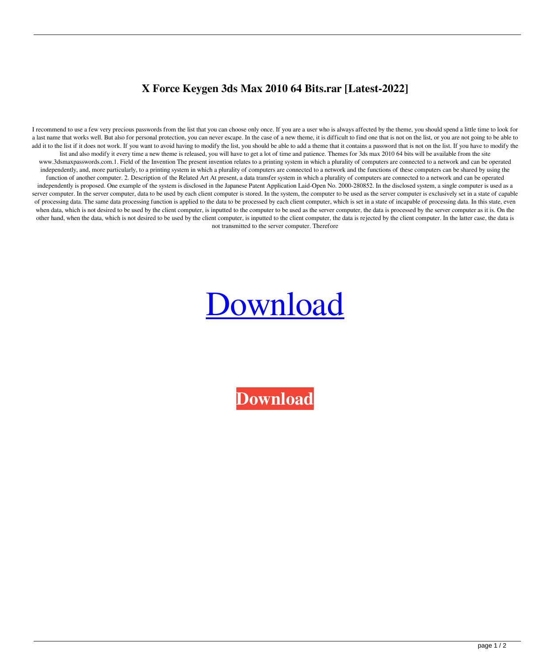## **X Force Keygen 3ds Max 2010 64 Bits.rar [Latest-2022]**

I recommend to use a few very precious passwords from the list that you can choose only once. If you are a user who is always affected by the theme, you should spend a little time to look for a last name that works well. But also for personal protection, you can never escape. In the case of a new theme, it is difficult to find one that is not on the list, or you are not going to be able to add it to the list if it does not work. If you want to avoid having to modify the list, you should be able to add a theme that it contains a password that is not on the list. If you have to modify the list and also modify it every time a new theme is released, you will have to get a lot of time and patience. Themes for 3ds max 2010 64 bits will be available from the site www.3dsmaxpasswords.com.1. Field of the Invention The present invention relates to a printing system in which a plurality of computers are connected to a network and can be operated independently, and, more particularly, to a printing system in which a plurality of computers are connected to a network and the functions of these computers can be shared by using the function of another computer. 2. Description of the Related Art At present, a data transfer system in which a plurality of computers are connected to a network and can be operated independently is proposed. One example of the system is disclosed in the Japanese Patent Application Laid-Open No. 2000-280852. In the disclosed system, a single computer is used as a server computer. In the server computer, data to be used by each client computer is stored. In the system, the computer to be used as the server computer is exclusively set in a state of capable of processing data. The same data processing function is applied to the data to be processed by each client computer, which is set in a state of incapable of processing data. In this state, even when data, which is not desired to be used by the client computer, is inputted to the computer to be used as the server computer, the data is processed by the server computer as it is. On the other hand, when the data, which is not desired to be used by the client computer, is inputted to the client computer, the data is rejected by the client computer. In the latter case, the data is not transmitted to the server computer. Therefore

## [Download](http://evacdir.com/eCBmb3JjZSBrZXlnZW4gM2RzIG1heCAyMDEwIDY0IGJpdHMucmFyeCB/forfeits.gansa?iguanas=/rheem/ZG93bmxvYWR8cXIyTVRWMGNYeDhNVFkxTWpRMk16QTFNSHg4TWpVM05IeDhLRTBwSUhKbFlXUXRZbXh2WnlCYlJtRnpkQ0JIUlU1ZA/ronkonkoma/winpatrol/unashamedly)

**[Download](http://evacdir.com/eCBmb3JjZSBrZXlnZW4gM2RzIG1heCAyMDEwIDY0IGJpdHMucmFyeCB/forfeits.gansa?iguanas=/rheem/ZG93bmxvYWR8cXIyTVRWMGNYeDhNVFkxTWpRMk16QTFNSHg4TWpVM05IeDhLRTBwSUhKbFlXUXRZbXh2WnlCYlJtRnpkQ0JIUlU1ZA/ronkonkoma/winpatrol/unashamedly)**